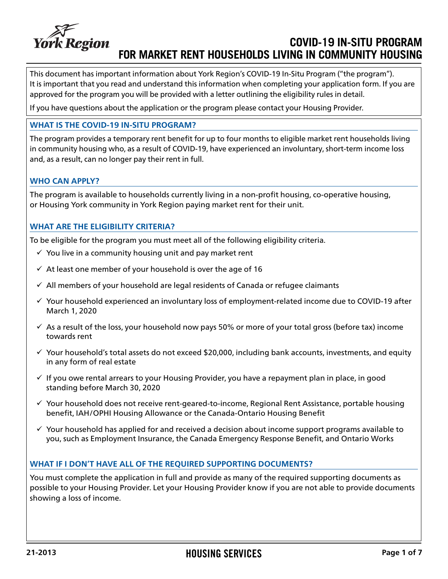

## **COVID-19 IN-SITU PROGRAM FOR MARKET RENT HOUSEHOLDS LIVING IN COMMUNITY HOUSING**

This document has important information about York Region's COVID-19 In-Situ Program ("the program"). It is important that you read and understand this information when completing your application form. If you are approved for the program you will be provided with a letter outlining the eligibility rules in detail.

If you have questions about the application or the program please contact your Housing Provider.

#### **WHAT IS THE COVID-19 IN-SITU PROGRAM?**

The program provides a temporary rent benefit for up to four months to eligible market rent households living in community housing who, as a result of COVID-19, have experienced an involuntary, short-term income loss and, as a result, can no longer pay their rent in full.

## **WHO CAN APPLY?**

The program is available to households currently living in a non-profit housing, co-operative housing, or Housing York community in York Region paying market rent for their unit.

## **WHAT ARE THE ELIGIBILITY CRITERIA?**

To be eligible for the program you must meet all of the following eligibility criteria.

- $\checkmark$  You live in a community housing unit and pay market rent
- $\checkmark$  At least one member of your household is over the age of 16
- $\checkmark$  All members of your household are legal residents of Canada or refugee claimants
- $\checkmark$  Your household experienced an involuntary loss of employment-related income due to COVID-19 after March 1, 2020
- $\checkmark$  As a result of the loss, your household now pays 50% or more of your total gross (before tax) income towards rent
- $\checkmark$  Your household's total assets do not exceed \$20,000, including bank accounts, investments, and equity in any form of real estate
- $\checkmark$  If you owe rental arrears to your Housing Provider, you have a repayment plan in place, in good standing before March 30, 2020
- $\checkmark$  Your household does not receive rent-geared-to-income, Regional Rent Assistance, portable housing benefit, IAH/OPHI Housing Allowance or the Canada-Ontario Housing Benefit
- $\checkmark$  Your household has applied for and received a decision about income support programs available to you, such as Employment Insurance, the Canada Emergency Response Benefit, and Ontario Works

## **WHAT IF I DON'T HAVE ALL OF THE REQUIRED SUPPORTING DOCUMENTS?**

You must complete the application in full and provide as many of the required supporting documents as possible to your Housing Provider. Let your Housing Provider know if you are not able to provide documents showing a loss of income.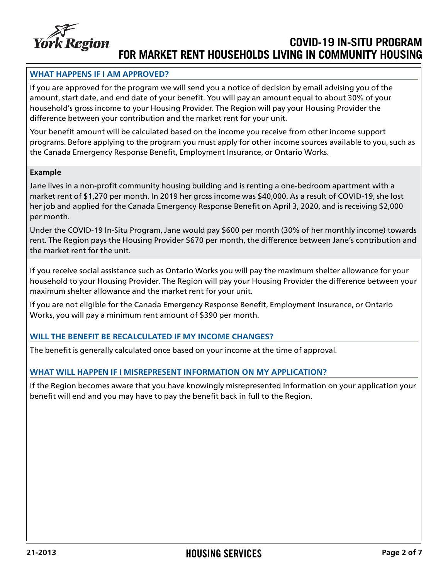

# **COVID-19 IN-SITU PROGRAM FOR MARKET RENT HOUSEHOLDS LIVING IN COMMUNITY HOUSING**

## **WHAT HAPPENS IF I AM APPROVED?**

If you are approved for the program we will send you a notice of decision by email advising you of the amount, start date, and end date of your benefit. You will pay an amount equal to about 30% of your household's gross income to your Housing Provider. The Region will pay your Housing Provider the difference between your contribution and the market rent for your unit.

Your benefit amount will be calculated based on the income you receive from other income support programs. Before applying to the program you must apply for other income sources available to you, such as the Canada Emergency Response Benefit, Employment Insurance, or Ontario Works.

#### **Example**

Jane lives in a non-profit community housing building and is renting a one-bedroom apartment with a market rent of \$1,270 per month. In 2019 her gross income was \$40,000. As a result of COVID-19, she lost her job and applied for the Canada Emergency Response Benefit on April 3, 2020, and is receiving \$2,000 per month.

Under the COVID-19 In-Situ Program, Jane would pay \$600 per month (30% of her monthly income) towards rent. The Region pays the Housing Provider \$670 per month, the difference between Jane's contribution and the market rent for the unit.

If you receive social assistance such as Ontario Works you will pay the maximum shelter allowance for your household to your Housing Provider. The Region will pay your Housing Provider the difference between your maximum shelter allowance and the market rent for your unit.

If you are not eligible for the Canada Emergency Response Benefit, Employment Insurance, or Ontario Works, you will pay a minimum rent amount of \$390 per month.

## **WILL THE BENEFIT BE RECALCULATED IF MY INCOME CHANGES?**

The benefit is generally calculated once based on your income at the time of approval.

## **WHAT WILL HAPPEN IF I MISREPRESENT INFORMATION ON MY APPLICATION?**

If the Region becomes aware that you have knowingly misrepresented information on your application your benefit will end and you may have to pay the benefit back in full to the Region.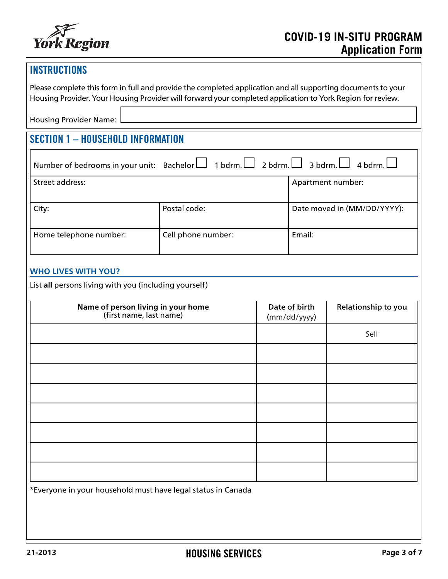

## **INSTRUCTIONS**

Please complete this form in full and provide the completed application and all supporting documents to your Housing Provider. Your Housing Provider will forward your completed application to York Region for review.

Housing Provider Name:

# SECTION 1 – HOUSEHOLD INFORMATION

|                        | Number of bedrooms in your unit: Bachelor $\Box$ 1 bdrm. $\Box$ 2 bdrm. $\Box$ 3 bdrm. $\Box$ 4 bdrm. $\Box$ |                             |  |
|------------------------|--------------------------------------------------------------------------------------------------------------|-----------------------------|--|
| Street address:        |                                                                                                              | Apartment number:           |  |
| City:                  | Postal code:                                                                                                 | Date moved in (MM/DD/YYYY): |  |
| Home telephone number: | Cell phone number:                                                                                           | Email:                      |  |

## **WHO LIVES WITH YOU?**

List **all** persons living with you (including yourself)

| Date of birth<br>(mm/dd/yyyy) | Relationship to you |
|-------------------------------|---------------------|
|                               | Self                |
|                               |                     |
|                               |                     |
|                               |                     |
|                               |                     |
|                               |                     |
|                               |                     |
|                               |                     |
|                               |                     |

\*Everyone in your household must have legal status in Canada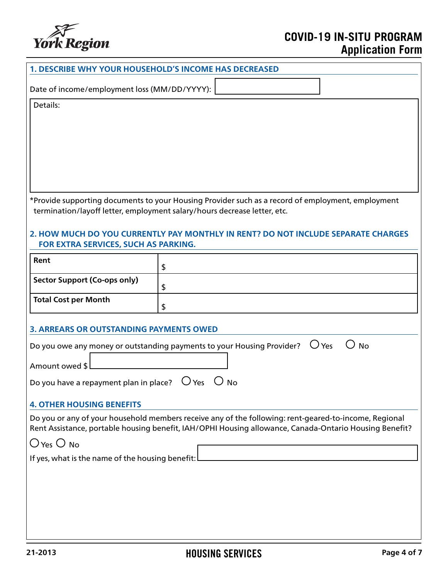

# **COVID-19 IN-SITU PROGRAM Application Form**

| <b>1. DESCRIBE WHY YOUR HOUSEHOLD'S INCOME HAS DECREASED</b>                                                                                                                                                                                                       |                                                                                                      |  |  |  |
|--------------------------------------------------------------------------------------------------------------------------------------------------------------------------------------------------------------------------------------------------------------------|------------------------------------------------------------------------------------------------------|--|--|--|
| Date of income/employment loss (MM/DD/YYYY):                                                                                                                                                                                                                       |                                                                                                      |  |  |  |
| Details:                                                                                                                                                                                                                                                           |                                                                                                      |  |  |  |
| *Provide supporting documents to your Housing Provider such as a record of employment, employment<br>termination/layoff letter, employment salary/hours decrease letter, etc.<br>2. HOW MUCH DO YOU CURRENTLY PAY MONTHLY IN RENT? DO NOT INCLUDE SEPARATE CHARGES |                                                                                                      |  |  |  |
| FOR EXTRA SERVICES, SUCH AS PARKING.                                                                                                                                                                                                                               |                                                                                                      |  |  |  |
| Rent                                                                                                                                                                                                                                                               | \$                                                                                                   |  |  |  |
| <b>Sector Support (Co-ops only)</b>                                                                                                                                                                                                                                | \$                                                                                                   |  |  |  |
| <b>Total Cost per Month</b>                                                                                                                                                                                                                                        | \$                                                                                                   |  |  |  |
| <b>3. ARREARS OR OUTSTANDING PAYMENTS OWED</b>                                                                                                                                                                                                                     |                                                                                                      |  |  |  |
|                                                                                                                                                                                                                                                                    | $\bigcup$ Yes<br>Do you owe any money or outstanding payments to your Housing Provider?<br><b>No</b> |  |  |  |
| Amount owed \$                                                                                                                                                                                                                                                     |                                                                                                      |  |  |  |
| $O$ Yes $O$<br>Do you have a repayment plan in place?<br><b>No</b>                                                                                                                                                                                                 |                                                                                                      |  |  |  |
| <b>4. OTHER HOUSING BENEFITS</b>                                                                                                                                                                                                                                   |                                                                                                      |  |  |  |
| Do you or any of your household members receive any of the following: rent-geared-to-income, Regional<br>Rent Assistance, portable housing benefit, IAH/OPHI Housing allowance, Canada-Ontario Housing Benefit?                                                    |                                                                                                      |  |  |  |
| $O$ Yes $O$ No                                                                                                                                                                                                                                                     |                                                                                                      |  |  |  |
| If yes, what is the name of the housing benefit:                                                                                                                                                                                                                   |                                                                                                      |  |  |  |
|                                                                                                                                                                                                                                                                    |                                                                                                      |  |  |  |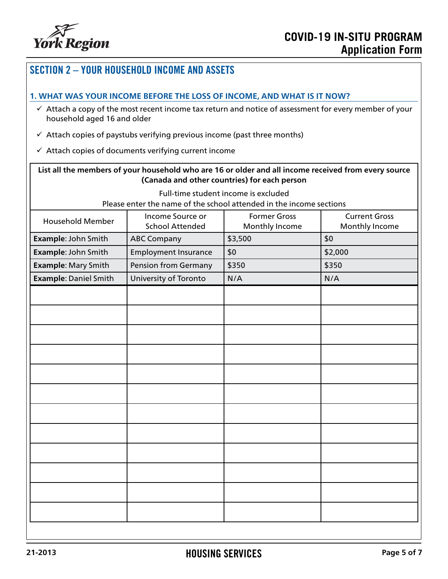

# SECTION 2 – YOUR HOUSEHOLD INCOME AND ASSETS **1. WHAT WAS YOUR INCOME BEFORE THE LOSS OF INCOME, AND WHAT IS IT NOW?**  $\checkmark$  Attach a copy of the most recent income tax return and notice of assessment for every member of your household aged 16 and older  $\checkmark$  Attach copies of paystubs verifying previous income (past three months)  $\checkmark$  Attach copies of documents verifying current income **List all the members of your household who are 16 or older and all income received from every source (Canada and other countries) for each person** Full-time student income is excluded Please enter the name of the school attended in the income sections Household Member Income Source or School Attended Former Gross Monthly Income Current Gross Monthly Income **Example**: John Smith | ABC Company | \$3,500 \$0 **Example**: John Smith | Employment Insurance | \$0  $\left| \right\rangle$  \$2,000 **Example**: Mary Smith | Pension from Germany | \$350 \$350 **Example**: Daniel Smith University of Toronto N/A N/A N/A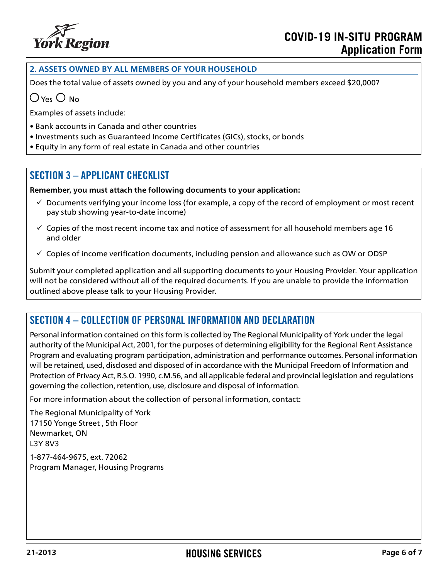

## **2. ASSETS OWNED BY ALL MEMBERS OF YOUR HOUSEHOLD**

Does the total value of assets owned by you and any of your household members exceed \$20,000?

 $\bigcap$  Yes  $\bigcap$  No

Examples of assets include:

- Bank accounts in Canada and other countries
- Investments such as Guaranteed Income Certificates (GICs), stocks, or bonds
- Equity in any form of real estate in Canada and other countries

## SECTION 3 – APPLICANT CHECKLIST

**Remember, you must attach the following documents to your application:**

- $\checkmark$  Documents verifying your income loss (for example, a copy of the record of employment or most recent pay stub showing year-to-date income)
- $\checkmark$  Copies of the most recent income tax and notice of assessment for all household members age 16 and older
- $\checkmark$  Copies of income verification documents, including pension and allowance such as OW or ODSP

Submit your completed application and all supporting documents to your Housing Provider. Your application will not be considered without all of the required documents. If you are unable to provide the information outlined above please talk to your Housing Provider.

## SECTION 4 – COLLECTION OF PERSONAL INFORMATION AND DECLARATION

Personal information contained on this form is collected by The Regional Municipality of York under the legal authority of the Municipal Act, 2001, for the purposes of determining eligibility for the Regional Rent Assistance Program and evaluating program participation, administration and performance outcomes. Personal information will be retained, used, disclosed and disposed of in accordance with the Municipal Freedom of Information and Protection of Privacy Act, R.S.O. 1990, c.M.56, and all applicable federal and provincial legislation and regulations governing the collection, retention, use, disclosure and disposal of information.

For more information about the collection of personal information, contact:

The Regional Municipality of York 17150 Yonge Street , 5th Floor Newmarket, ON L3Y 8V3

1-877-464-9675, ext. 72062 Program Manager, Housing Programs